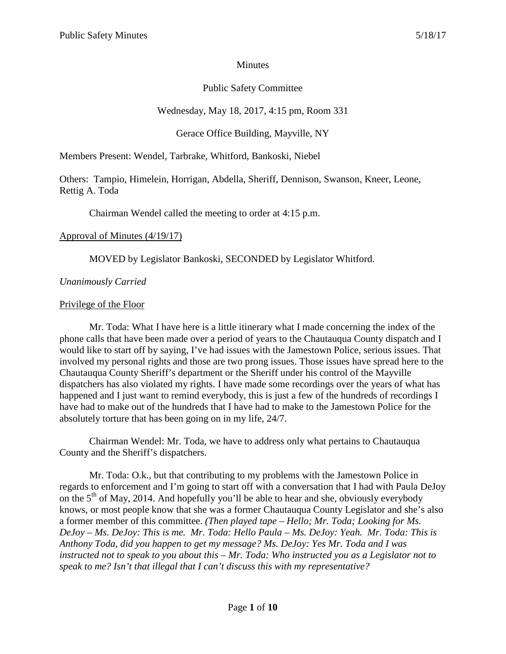#### **Minutes**

## Public Safety Committee

# Wednesday, May 18, 2017, 4:15 pm, Room 331

Gerace Office Building, Mayville, NY

Members Present: Wendel, Tarbrake, Whitford, Bankoski, Niebel

Others: Tampio, Himelein, Horrigan, Abdella, Sheriff, Dennison, Swanson, Kneer, Leone, Rettig A. Toda

Chairman Wendel called the meeting to order at 4:15 p.m.

### Approval of Minutes (4/19/17)

MOVED by Legislator Bankoski, SECONDED by Legislator Whitford.

## *Unanimously Carried*

### Privilege of the Floor

Mr. Toda: What I have here is a little itinerary what I made concerning the index of the phone calls that have been made over a period of years to the Chautauqua County dispatch and I would like to start off by saying, I've had issues with the Jamestown Police, serious issues. That involved my personal rights and those are two prong issues. Those issues have spread here to the Chautauqua County Sheriff's department or the Sheriff under his control of the Mayville dispatchers has also violated my rights. I have made some recordings over the years of what has happened and I just want to remind everybody, this is just a few of the hundreds of recordings I have had to make out of the hundreds that I have had to make to the Jamestown Police for the absolutely torture that has been going on in my life, 24/7.

Chairman Wendel: Mr. Toda, we have to address only what pertains to Chautauqua County and the Sheriff's dispatchers.

Mr. Toda: O.k., but that contributing to my problems with the Jamestown Police in regards to enforcement and I'm going to start off with a conversation that I had with Paula DeJoy on the  $5<sup>th</sup>$  of May, 2014. And hopefully you'll be able to hear and she, obviously everybody knows, or most people know that she was a former Chautauqua County Legislator and she's also a former member of this committee. *(Then played tape – Hello; Mr. Toda; Looking for Ms. DeJoy – Ms. DeJoy: This is me. Mr. Toda: Hello Paula – Ms. DeJoy: Yeah. Mr. Toda: This is Anthony Toda, did you happen to get my message? Ms. DeJoy: Yes Mr. Toda and I was instructed not to speak to you about this – Mr. Toda: Who instructed you as a Legislator not to speak to me? Isn't that illegal that I can't discuss this with my representative?*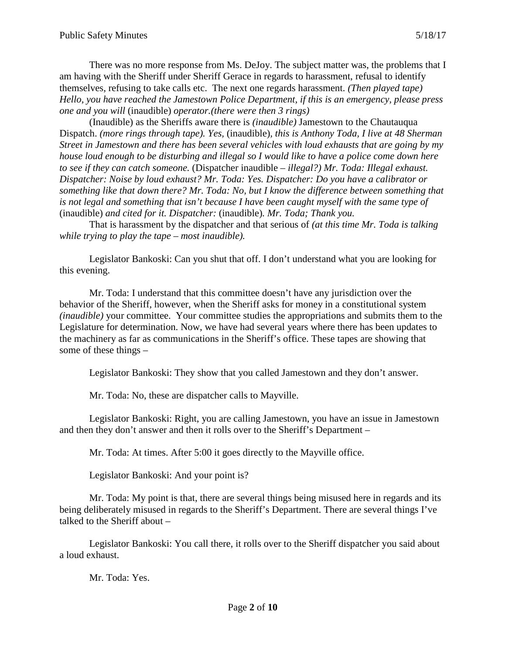There was no more response from Ms. DeJoy. The subject matter was, the problems that I am having with the Sheriff under Sheriff Gerace in regards to harassment, refusal to identify themselves, refusing to take calls etc. The next one regards harassment. *(Then played tape) Hello, you have reached the Jamestown Police Department, if this is an emergency, please press one and you will* (inaudible) *operator.(there were then 3 rings)*

(Inaudible) as the Sheriffs aware there is *(inaudible)* Jamestown to the Chautauqua Dispatch. *(more rings through tape). Yes,* (inaudible)*, this is Anthony Toda, I live at 48 Sherman Street in Jamestown and there has been several vehicles with loud exhausts that are going by my house loud enough to be disturbing and illegal so I would like to have a police come down here to see if they can catch someone.* (Dispatcher inaudible – *illegal?) Mr. Toda: Illegal exhaust. Dispatcher: Noise by loud exhaust? Mr. Toda: Yes. Dispatcher: Do you have a calibrator or something like that down there? Mr. Toda: No, but I know the difference between something that is not legal and something that isn't because I have been caught myself with the same type of*  (inaudible) *and cited for it. Dispatcher:* (inaudible)*. Mr. Toda; Thank you.*

That is harassment by the dispatcher and that serious of *(at this time Mr. Toda is talking while trying to play the tape – most inaudible).*

Legislator Bankoski: Can you shut that off. I don't understand what you are looking for this evening.

Mr. Toda: I understand that this committee doesn't have any jurisdiction over the behavior of the Sheriff, however, when the Sheriff asks for money in a constitutional system *(inaudible)* your committee. Your committee studies the appropriations and submits them to the Legislature for determination. Now, we have had several years where there has been updates to the machinery as far as communications in the Sheriff's office. These tapes are showing that some of these things –

Legislator Bankoski: They show that you called Jamestown and they don't answer.

Mr. Toda: No, these are dispatcher calls to Mayville.

Legislator Bankoski: Right, you are calling Jamestown, you have an issue in Jamestown and then they don't answer and then it rolls over to the Sheriff's Department –

Mr. Toda: At times. After 5:00 it goes directly to the Mayville office.

Legislator Bankoski: And your point is?

Mr. Toda: My point is that, there are several things being misused here in regards and its being deliberately misused in regards to the Sheriff's Department. There are several things I've talked to the Sheriff about –

Legislator Bankoski: You call there, it rolls over to the Sheriff dispatcher you said about a loud exhaust.

Mr. Toda: Yes.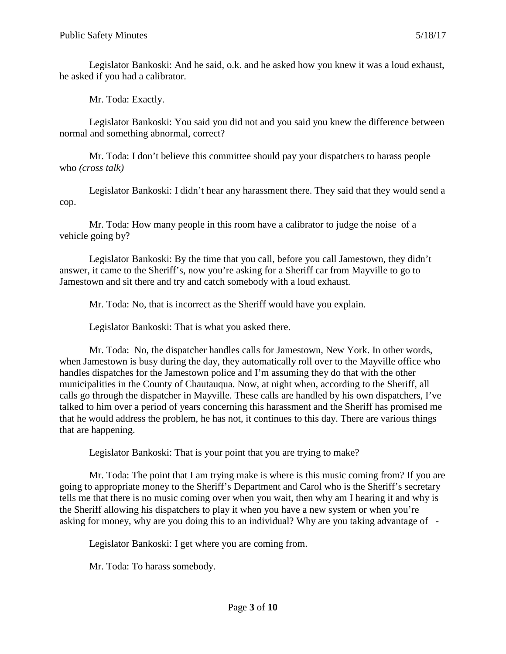Legislator Bankoski: And he said, o.k. and he asked how you knew it was a loud exhaust, he asked if you had a calibrator.

Mr. Toda: Exactly.

Legislator Bankoski: You said you did not and you said you knew the difference between normal and something abnormal, correct?

Mr. Toda: I don't believe this committee should pay your dispatchers to harass people who *(cross talk)*

Legislator Bankoski: I didn't hear any harassment there. They said that they would send a cop.

Mr. Toda: How many people in this room have a calibrator to judge the noise of a vehicle going by?

Legislator Bankoski: By the time that you call, before you call Jamestown, they didn't answer, it came to the Sheriff's, now you're asking for a Sheriff car from Mayville to go to Jamestown and sit there and try and catch somebody with a loud exhaust.

Mr. Toda: No, that is incorrect as the Sheriff would have you explain.

Legislator Bankoski: That is what you asked there.

Mr. Toda: No, the dispatcher handles calls for Jamestown, New York. In other words, when Jamestown is busy during the day, they automatically roll over to the Mayville office who handles dispatches for the Jamestown police and I'm assuming they do that with the other municipalities in the County of Chautauqua. Now, at night when, according to the Sheriff, all calls go through the dispatcher in Mayville. These calls are handled by his own dispatchers, I've talked to him over a period of years concerning this harassment and the Sheriff has promised me that he would address the problem, he has not, it continues to this day. There are various things that are happening.

Legislator Bankoski: That is your point that you are trying to make?

Mr. Toda: The point that I am trying make is where is this music coming from? If you are going to appropriate money to the Sheriff's Department and Carol who is the Sheriff's secretary tells me that there is no music coming over when you wait, then why am I hearing it and why is the Sheriff allowing his dispatchers to play it when you have a new system or when you're asking for money, why are you doing this to an individual? Why are you taking advantage of -

Legislator Bankoski: I get where you are coming from.

Mr. Toda: To harass somebody.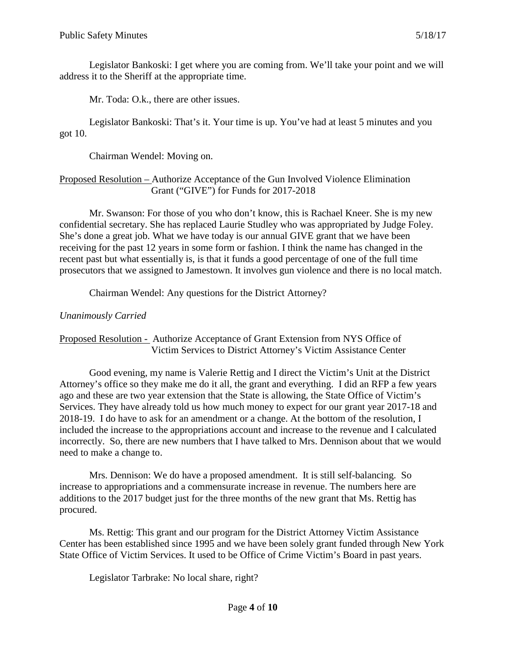Legislator Bankoski: I get where you are coming from. We'll take your point and we will address it to the Sheriff at the appropriate time.

Mr. Toda: O.k., there are other issues.

Legislator Bankoski: That's it. Your time is up. You've had at least 5 minutes and you got 10.

Chairman Wendel: Moving on.

### Proposed Resolution – Authorize Acceptance of the Gun Involved Violence Elimination Grant ("GIVE") for Funds for 2017-2018

Mr. Swanson: For those of you who don't know, this is Rachael Kneer. She is my new confidential secretary. She has replaced Laurie Studley who was appropriated by Judge Foley. She's done a great job. What we have today is our annual GIVE grant that we have been receiving for the past 12 years in some form or fashion. I think the name has changed in the recent past but what essentially is, is that it funds a good percentage of one of the full time prosecutors that we assigned to Jamestown. It involves gun violence and there is no local match.

Chairman Wendel: Any questions for the District Attorney?

## *Unanimously Carried*

Proposed Resolution - Authorize Acceptance of Grant Extension from NYS Office of Victim Services to District Attorney's Victim Assistance Center

Good evening, my name is Valerie Rettig and I direct the Victim's Unit at the District Attorney's office so they make me do it all, the grant and everything. I did an RFP a few years ago and these are two year extension that the State is allowing, the State Office of Victim's Services. They have already told us how much money to expect for our grant year 2017-18 and 2018-19. I do have to ask for an amendment or a change. At the bottom of the resolution, I included the increase to the appropriations account and increase to the revenue and I calculated incorrectly. So, there are new numbers that I have talked to Mrs. Dennison about that we would need to make a change to.

Mrs. Dennison: We do have a proposed amendment. It is still self-balancing. So increase to appropriations and a commensurate increase in revenue. The numbers here are additions to the 2017 budget just for the three months of the new grant that Ms. Rettig has procured.

Ms. Rettig: This grant and our program for the District Attorney Victim Assistance Center has been established since 1995 and we have been solely grant funded through New York State Office of Victim Services. It used to be Office of Crime Victim's Board in past years.

Legislator Tarbrake: No local share, right?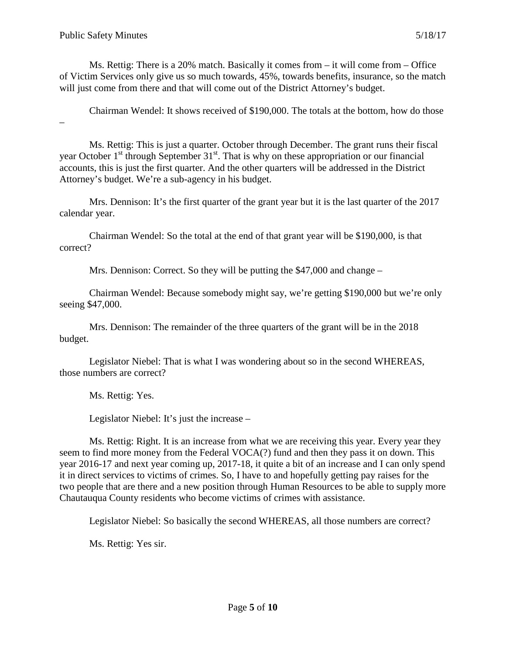–

Ms. Rettig: There is a 20% match. Basically it comes from – it will come from – Office of Victim Services only give us so much towards, 45%, towards benefits, insurance, so the match will just come from there and that will come out of the District Attorney's budget.

Chairman Wendel: It shows received of \$190,000. The totals at the bottom, how do those

Ms. Rettig: This is just a quarter. October through December. The grant runs their fiscal year October  $1<sup>st</sup>$  through September  $31<sup>st</sup>$ . That is why on these appropriation or our financial accounts, this is just the first quarter. And the other quarters will be addressed in the District Attorney's budget. We're a sub-agency in his budget.

Mrs. Dennison: It's the first quarter of the grant year but it is the last quarter of the 2017 calendar year.

Chairman Wendel: So the total at the end of that grant year will be \$190,000, is that correct?

Mrs. Dennison: Correct. So they will be putting the \$47,000 and change –

Chairman Wendel: Because somebody might say, we're getting \$190,000 but we're only seeing \$47,000.

Mrs. Dennison: The remainder of the three quarters of the grant will be in the 2018 budget.

Legislator Niebel: That is what I was wondering about so in the second WHEREAS, those numbers are correct?

Ms. Rettig: Yes.

Legislator Niebel: It's just the increase –

Ms. Rettig: Right. It is an increase from what we are receiving this year. Every year they seem to find more money from the Federal VOCA(?) fund and then they pass it on down. This year 2016-17 and next year coming up, 2017-18, it quite a bit of an increase and I can only spend it in direct services to victims of crimes. So, I have to and hopefully getting pay raises for the two people that are there and a new position through Human Resources to be able to supply more Chautauqua County residents who become victims of crimes with assistance.

Legislator Niebel: So basically the second WHEREAS, all those numbers are correct?

Ms. Rettig: Yes sir.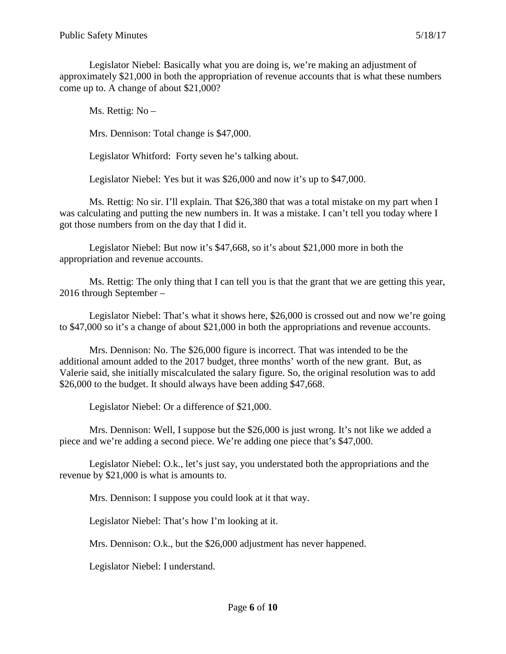Legislator Niebel: Basically what you are doing is, we're making an adjustment of approximately \$21,000 in both the appropriation of revenue accounts that is what these numbers come up to. A change of about \$21,000?

Ms. Rettig: No –

Mrs. Dennison: Total change is \$47,000.

Legislator Whitford: Forty seven he's talking about.

Legislator Niebel: Yes but it was \$26,000 and now it's up to \$47,000.

Ms. Rettig: No sir. I'll explain. That \$26,380 that was a total mistake on my part when I was calculating and putting the new numbers in. It was a mistake. I can't tell you today where I got those numbers from on the day that I did it.

Legislator Niebel: But now it's \$47,668, so it's about \$21,000 more in both the appropriation and revenue accounts.

Ms. Rettig: The only thing that I can tell you is that the grant that we are getting this year, 2016 through September –

Legislator Niebel: That's what it shows here, \$26,000 is crossed out and now we're going to \$47,000 so it's a change of about \$21,000 in both the appropriations and revenue accounts.

Mrs. Dennison: No. The \$26,000 figure is incorrect. That was intended to be the additional amount added to the 2017 budget, three months' worth of the new grant. But, as Valerie said, she initially miscalculated the salary figure. So, the original resolution was to add \$26,000 to the budget. It should always have been adding \$47,668.

Legislator Niebel: Or a difference of \$21,000.

Mrs. Dennison: Well, I suppose but the \$26,000 is just wrong. It's not like we added a piece and we're adding a second piece. We're adding one piece that's \$47,000.

Legislator Niebel: O.k., let's just say, you understated both the appropriations and the revenue by \$21,000 is what is amounts to.

Mrs. Dennison: I suppose you could look at it that way.

Legislator Niebel: That's how I'm looking at it.

Mrs. Dennison: O.k., but the \$26,000 adjustment has never happened.

Legislator Niebel: I understand.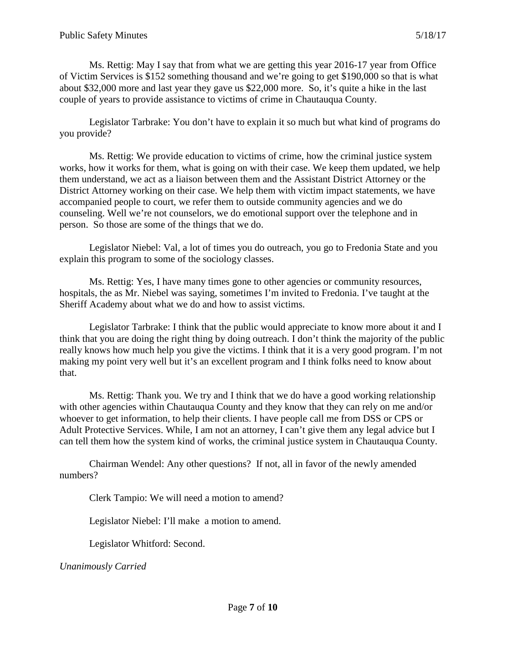Ms. Rettig: May I say that from what we are getting this year 2016-17 year from Office of Victim Services is \$152 something thousand and we're going to get \$190,000 so that is what about \$32,000 more and last year they gave us \$22,000 more. So, it's quite a hike in the last couple of years to provide assistance to victims of crime in Chautauqua County.

Legislator Tarbrake: You don't have to explain it so much but what kind of programs do you provide?

Ms. Rettig: We provide education to victims of crime, how the criminal justice system works, how it works for them, what is going on with their case. We keep them updated, we help them understand, we act as a liaison between them and the Assistant District Attorney or the District Attorney working on their case. We help them with victim impact statements, we have accompanied people to court, we refer them to outside community agencies and we do counseling. Well we're not counselors, we do emotional support over the telephone and in person. So those are some of the things that we do.

Legislator Niebel: Val, a lot of times you do outreach, you go to Fredonia State and you explain this program to some of the sociology classes.

Ms. Rettig: Yes, I have many times gone to other agencies or community resources, hospitals, the as Mr. Niebel was saying, sometimes I'm invited to Fredonia. I've taught at the Sheriff Academy about what we do and how to assist victims.

Legislator Tarbrake: I think that the public would appreciate to know more about it and I think that you are doing the right thing by doing outreach. I don't think the majority of the public really knows how much help you give the victims. I think that it is a very good program. I'm not making my point very well but it's an excellent program and I think folks need to know about that.

Ms. Rettig: Thank you. We try and I think that we do have a good working relationship with other agencies within Chautauqua County and they know that they can rely on me and/or whoever to get information, to help their clients. I have people call me from DSS or CPS or Adult Protective Services. While, I am not an attorney, I can't give them any legal advice but I can tell them how the system kind of works, the criminal justice system in Chautauqua County.

Chairman Wendel: Any other questions? If not, all in favor of the newly amended numbers?

Clerk Tampio: We will need a motion to amend?

Legislator Niebel: I'll make a motion to amend.

Legislator Whitford: Second.

*Unanimously Carried*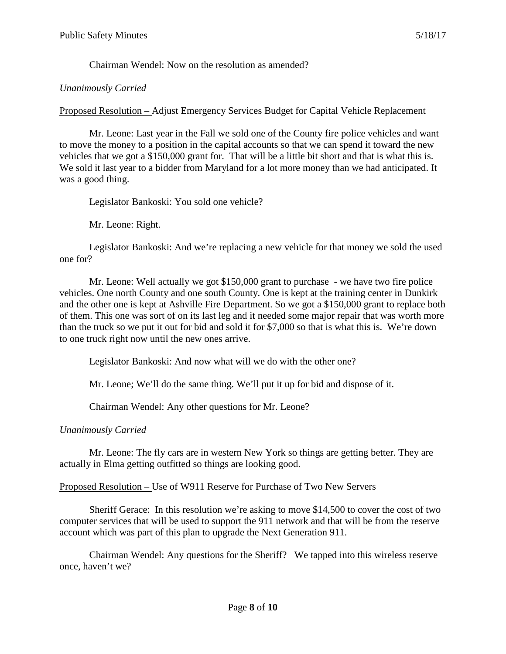Chairman Wendel: Now on the resolution as amended?

### *Unanimously Carried*

Proposed Resolution – Adjust Emergency Services Budget for Capital Vehicle Replacement

Mr. Leone: Last year in the Fall we sold one of the County fire police vehicles and want to move the money to a position in the capital accounts so that we can spend it toward the new vehicles that we got a \$150,000 grant for. That will be a little bit short and that is what this is. We sold it last year to a bidder from Maryland for a lot more money than we had anticipated. It was a good thing.

Legislator Bankoski: You sold one vehicle?

Mr. Leone: Right.

Legislator Bankoski: And we're replacing a new vehicle for that money we sold the used one for?

Mr. Leone: Well actually we got \$150,000 grant to purchase - we have two fire police vehicles. One north County and one south County. One is kept at the training center in Dunkirk and the other one is kept at Ashville Fire Department. So we got a \$150,000 grant to replace both of them. This one was sort of on its last leg and it needed some major repair that was worth more than the truck so we put it out for bid and sold it for \$7,000 so that is what this is. We're down to one truck right now until the new ones arrive.

Legislator Bankoski: And now what will we do with the other one?

Mr. Leone; We'll do the same thing. We'll put it up for bid and dispose of it.

Chairman Wendel: Any other questions for Mr. Leone?

## *Unanimously Carried*

Mr. Leone: The fly cars are in western New York so things are getting better. They are actually in Elma getting outfitted so things are looking good.

Proposed Resolution – Use of W911 Reserve for Purchase of Two New Servers

Sheriff Gerace: In this resolution we're asking to move \$14,500 to cover the cost of two computer services that will be used to support the 911 network and that will be from the reserve account which was part of this plan to upgrade the Next Generation 911.

Chairman Wendel: Any questions for the Sheriff? We tapped into this wireless reserve once, haven't we?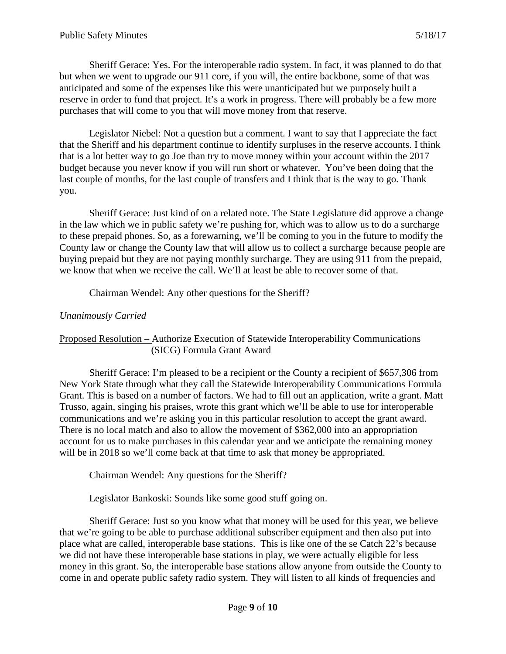Sheriff Gerace: Yes. For the interoperable radio system. In fact, it was planned to do that but when we went to upgrade our 911 core, if you will, the entire backbone, some of that was anticipated and some of the expenses like this were unanticipated but we purposely built a reserve in order to fund that project. It's a work in progress. There will probably be a few more purchases that will come to you that will move money from that reserve.

Legislator Niebel: Not a question but a comment. I want to say that I appreciate the fact that the Sheriff and his department continue to identify surpluses in the reserve accounts. I think that is a lot better way to go Joe than try to move money within your account within the 2017 budget because you never know if you will run short or whatever. You've been doing that the last couple of months, for the last couple of transfers and I think that is the way to go. Thank you.

Sheriff Gerace: Just kind of on a related note. The State Legislature did approve a change in the law which we in public safety we're pushing for, which was to allow us to do a surcharge to these prepaid phones. So, as a forewarning, we'll be coming to you in the future to modify the County law or change the County law that will allow us to collect a surcharge because people are buying prepaid but they are not paying monthly surcharge. They are using 911 from the prepaid, we know that when we receive the call. We'll at least be able to recover some of that.

Chairman Wendel: Any other questions for the Sheriff?

### *Unanimously Carried*

### Proposed Resolution – Authorize Execution of Statewide Interoperability Communications (SICG) Formula Grant Award

Sheriff Gerace: I'm pleased to be a recipient or the County a recipient of \$657,306 from New York State through what they call the Statewide Interoperability Communications Formula Grant. This is based on a number of factors. We had to fill out an application, write a grant. Matt Trusso, again, singing his praises, wrote this grant which we'll be able to use for interoperable communications and we're asking you in this particular resolution to accept the grant award. There is no local match and also to allow the movement of \$362,000 into an appropriation account for us to make purchases in this calendar year and we anticipate the remaining money will be in 2018 so we'll come back at that time to ask that money be appropriated.

Chairman Wendel: Any questions for the Sheriff?

Legislator Bankoski: Sounds like some good stuff going on.

Sheriff Gerace: Just so you know what that money will be used for this year, we believe that we're going to be able to purchase additional subscriber equipment and then also put into place what are called, interoperable base stations. This is like one of the se Catch 22's because we did not have these interoperable base stations in play, we were actually eligible for less money in this grant. So, the interoperable base stations allow anyone from outside the County to come in and operate public safety radio system. They will listen to all kinds of frequencies and